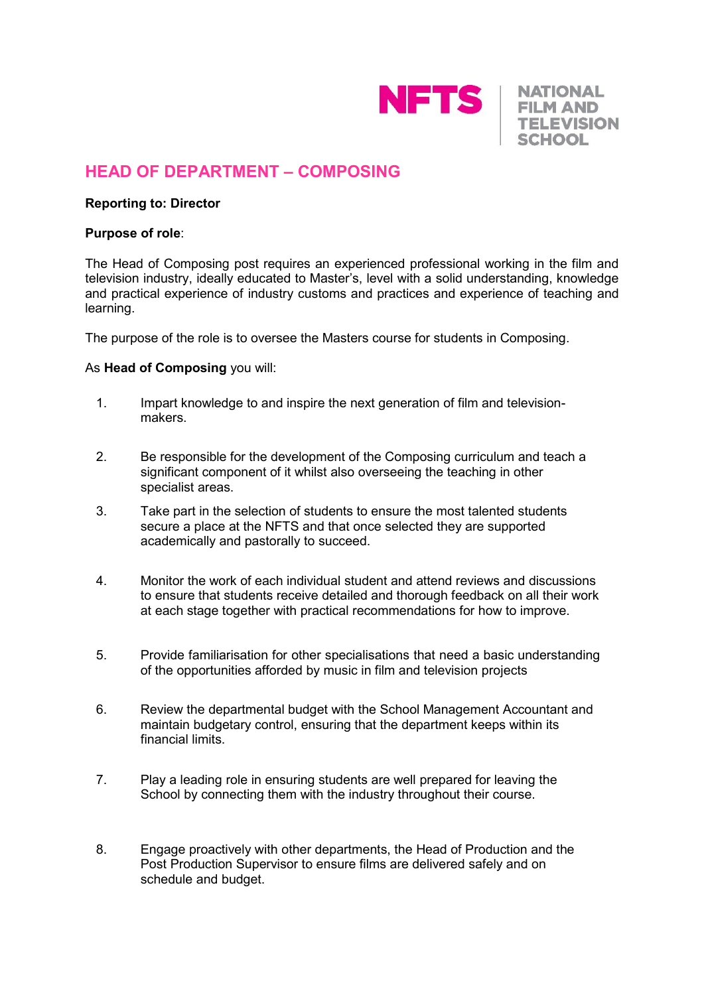

**NATIONAL FILM AND TELEVISION SCHOOL** 

# **HEAD OF DEPARTMENT – COMPOSING**

### **Reporting to: Director**

#### **Purpose of role**:

The Head of Composing post requires an experienced professional working in the film and television industry, ideally educated to Master's, level with a solid understanding, knowledge and practical experience of industry customs and practices and experience of teaching and learning.

The purpose of the role is to oversee the Masters course for students in Composing.

#### As **Head of Composing** you will:

- 1. Impart knowledge to and inspire the next generation of film and televisionmakers.
- 2. Be responsible for the development of the Composing curriculum and teach a significant component of it whilst also overseeing the teaching in other specialist areas.
- 3. Take part in the selection of students to ensure the most talented students secure a place at the NFTS and that once selected they are supported academically and pastorally to succeed.
- 4. Monitor the work of each individual student and attend reviews and discussions to ensure that students receive detailed and thorough feedback on all their work at each stage together with practical recommendations for how to improve.
- 5. Provide familiarisation for other specialisations that need a basic understanding of the opportunities afforded by music in film and television projects
- 6. Review the departmental budget with the School Management Accountant and maintain budgetary control, ensuring that the department keeps within its financial limits.
- 7. Play a leading role in ensuring students are well prepared for leaving the School by connecting them with the industry throughout their course.
- 8. Engage proactively with other departments, the Head of Production and the Post Production Supervisor to ensure films are delivered safely and on schedule and budget.